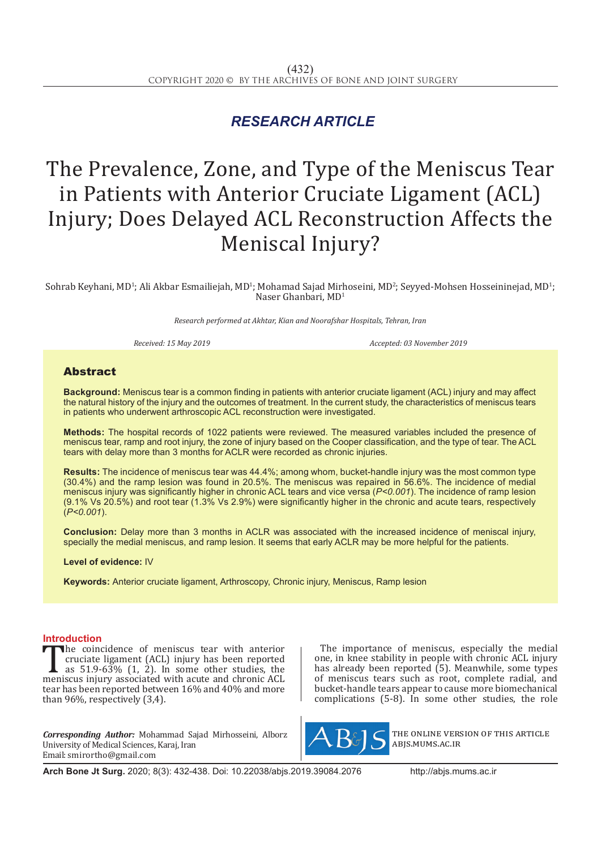## *RESEARCH ARTICLE*

# The Prevalence, Zone, and Type of the Meniscus Tear in Patients with Anterior Cruciate Ligament (ACL) Injury; Does Delayed ACL Reconstruction Affects the Meniscal Injury?

Sohrab Keyhani, MD<sup>1</sup>; Ali Akbar Esmailiejah, MD<sup>1</sup>; Mohamad Sajad Mirhoseini, MD<sup>2</sup>; Seyyed-Mohsen Hosseininejad, MD<sup>1</sup>; Naser Ghanbari, MD1

*Research performed at Akhtar, Kian and Noorafshar Hospitals, Tehran, Iran*

*Received: 15 May 2019 Accepted: 03 November 2019*

### Abstract

**Background:** Meniscus tear is a common finding in patients with anterior cruciate ligament (ACL) injury and may affect the natural history of the injury and the outcomes of treatment. In the current study, the characteristics of meniscus tears in patients who underwent arthroscopic ACL reconstruction were investigated.

**Methods:** The hospital records of 1022 patients were reviewed. The measured variables included the presence of meniscus tear, ramp and root injury, the zone of injury based on the Cooper classification, and the type of tear. The ACL tears with delay more than 3 months for ACLR were recorded as chronic injuries.

**Results:** The incidence of meniscus tear was 44.4%; among whom, bucket-handle injury was the most common type (30.4%) and the ramp lesion was found in 20.5%. The meniscus was repaired in 56.6%. The incidence of medial meniscus injury was significantly higher in chronic ACL tears and vice versa (*P<0.001*). The incidence of ramp lesion (9.1% Vs 20.5%) and root tear (1.3% Vs 2.9%) were significantly higher in the chronic and acute tears, respectively (*P<0.001*).

**Conclusion:** Delay more than 3 months in ACLR was associated with the increased incidence of meniscal injury, specially the medial meniscus, and ramp lesion. It seems that early ACLR may be more helpful for the patients.

**Level of evidence:** IV

**Keywords:** Anterior cruciate ligament, Arthroscopy, Chronic injury, Meniscus, Ramp lesion

**Introduction**<br>The coincidence of meniscus tear with anterior The coincidence of meniscus tear with anterior<br>cruciate ligament (ACL) injury has been reported<br>as 51.9-63% (1, 2). In some other studies, the<br>meniscus injury associated with acute and chronic ACL<br>tear has been reported be cruciate ligament (ACL) injury has been reported as 51.9-63% (1, 2). In some other studies, the meniscus injury associated with acute and chronic ACL tear has been reported between 16% and 40% and more than 96%, respectively (3,4).

*Corresponding Author:* Mohammad Sajad Mirhosseini, Alborz University of Medical Sciences, Karaj, Iran Email: smirortho@gmail.com

The importance of meniscus, especially the medial one, in knee stability in people with chronic ACL injury has already been reported (5). Meanwhile, some types of meniscus tears such as root, complete radial, and bucket-handle tears appear to cause more biomechanical complications  $(5-8)$ . In some other studies, the role



the online version of this article abjs.mums.ac.ir

**Arch Bone Jt Surg.** 2020; 8(3): 432-438. Doi: 10.22038/abjs.2019.39084.2076 http://abjs.mums.ac.ir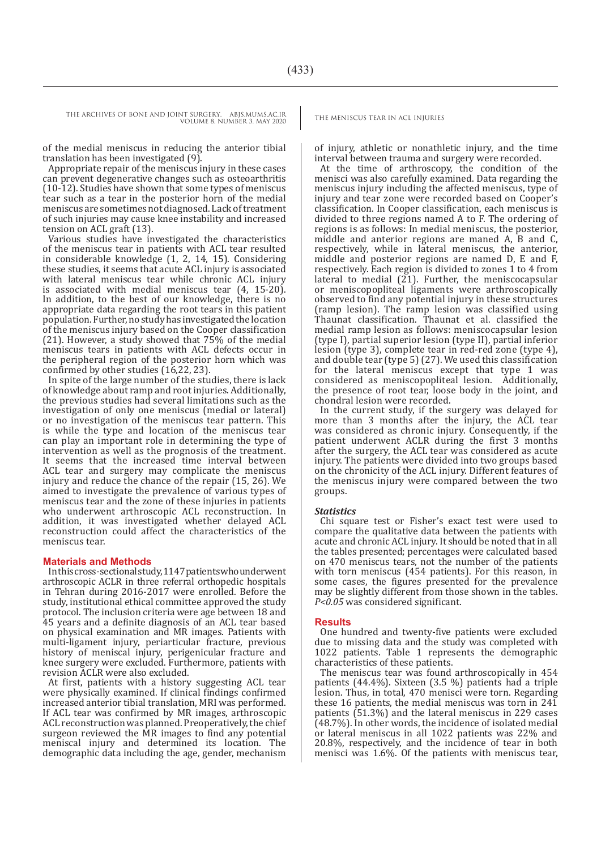THE ARCHIVES OF BONE AND JOINT SURGERY. ABJS.MUMS.AC.IR<br>THE MENISCUS TEAR IN ACL INJURIES VOLUME 8. NUMBER 3. MAY 2020

of the medial meniscus in reducing the anterior tibial translation has been investigated (9).

Appropriate repair of the meniscus injury in these cases can prevent degenerative changes such as osteoarthritis (10-12). Studies have shown that some types of meniscus tear such as a tear in the posterior horn of the medial meniscus are sometimes not diagnosed. Lack of treatment of such injuries may cause knee instability and increased tension on ACL graft (13).

Various studies have investigated the characteristics of the meniscus tear in patients with ACL tear resulted in considerable knowledge (1, 2, 14, 15). Considering these studies, it seems that acute ACL injury is associated with lateral meniscus tear while chronic ACL injury is associated with medial meniscus tear (4, 15-20). In addition, to the best of our knowledge, there is no appropriate data regarding the root tears in this patient population. Further, no study has investigated the location of the meniscus injury based on the Cooper classification (21). However, a study showed that 75% of the medial meniscus tears in patients with ACL defects occur in the peripheral region of the posterior horn which was confirmed by other studies (16,22, 23).

In spite of the large number of the studies, there is lack of knowledge about ramp and root injuries. Additionally, the previous studies had several limitations such as the investigation of only one meniscus (medial or lateral) or no investigation of the meniscus tear pattern. This is while the type and location of the meniscus tear can play an important role in determining the type of intervention as well as the prognosis of the treatment. It seems that the increased time interval between ACL tear and surgery may complicate the meniscus injury and reduce the chance of the repair (15, 26). We aimed to investigate the prevalence of various types of meniscus tear and the zone of these injuries in patients who underwent arthroscopic ACL reconstruction. In addition, it was investigated whether delayed ACL reconstruction could affect the characteristics of the meniscus tear.

#### **Materials and Methods**

In this cross-sectional study, 1147 patients who underwent arthroscopic ACLR in three referral orthopedic hospitals in Tehran during 2016-2017 were enrolled. Before the study, institutional ethical committee approved the study protocol. The inclusion criteria were age between 18 and 45 years and a definite diagnosis of an ACL tear based on physical examination and MR images. Patients with multi-ligament injury, periarticular fracture, previous history of meniscal injury, perigenicular fracture and knee surgery were excluded. Furthermore, patients with revision ACLR were also excluded.

At first, patients with a history suggesting ACL tear were physically examined. If clinical findings confirmed increased anterior tibial translation, MRI was performed. If ACL tear was confirmed by MR images, arthroscopic ACL reconstruction was planned. Preoperatively, the chief surgeon reviewed the MR images to find any potential meniscal injury and determined its location. The demographic data including the age, gender, mechanism

of injury, athletic or nonathletic injury, and the time interval between trauma and surgery were recorded.

At the time of arthroscopy, the condition of the menisci was also carefully examined. Data regarding the meniscus injury including the affected meniscus, type of injury and tear zone were recorded based on Cooper's classification. In Cooper classification, each meniscus is divided to three regions named A to F. The ordering of regions is as follows: In medial meniscus, the posterior, middle and anterior regions are maned A, B and C, respectively, while in lateral meniscus, the anterior, middle and posterior regions are named D, E and F, respectively. Each region is divided to zones 1 to 4 from lateral to medial (21). Further, the meniscocapsular or meniscopopliteal ligaments were arthroscopically observed to find any potential injury in these structures (ramp lesion). The ramp lesion was classified using Thaunat classification. Thaunat et al. classified the medial ramp lesion as follows: meniscocapsular lesion (type I), partial superior lesion (type II), partial inferior lesion (type 3), complete tear in red-red zone (type 4), and double tear (type 5) (27). We used this classification for the lateral meniscus except that type 1 was considered as meniscopopliteal lesion. Additionally, the presence of root tear, loose body in the joint, and chondral lesion were recorded.

In the current study, if the surgery was delayed for more than 3 months after the injury, the ACL tear was considered as chronic injury. Consequently, if the patient underwent ACLR during the first 3 months after the surgery, the ACL tear was considered as acute injury. The patients were divided into two groups based on the chronicity of the ACL injury. Different features of the meniscus injury were compared between the two groups.

#### *Statistics*

Chi square test or Fisher's exact test were used to compare the qualitative data between the patients with acute and chronic ACL injury. It should be noted that in all the tables presented; percentages were calculated based on 470 meniscus tears, not the number of the patients with torn meniscus (454 patients). For this reason, in some cases, the figures presented for the prevalence may be slightly different from those shown in the tables. *P<0.05* was considered significant.

#### **Results**

One hundred and twenty-five patients were excluded due to missing data and the study was completed with 1022 patients. Table 1 represents the demographic characteristics of these patients.

The meniscus tear was found arthroscopically in 454 patients (44.4%). Sixteen (3.5 %) patients had a triple lesion. Thus, in total, 470 menisci were torn. Regarding these 16 patients, the medial meniscus was torn in 241 patients (51.3%) and the lateral meniscus in 229 cases (48.7%). In other words, the incidence of isolated medial or lateral meniscus in all 1022 patients was 22% and 20.8%, respectively, and the incidence of tear in both menisci was 1.6%. Of the patients with meniscus tear,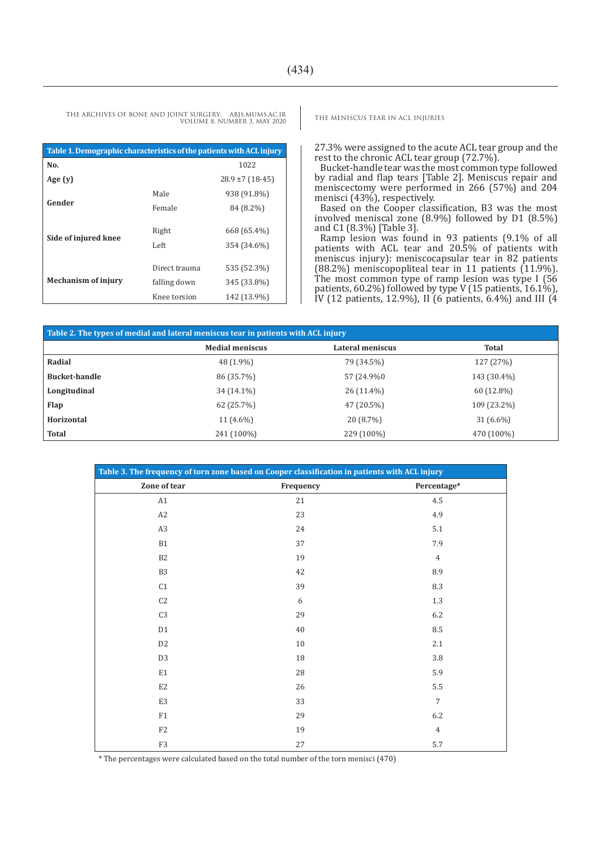THE ARCHIVES OF BONE AND JOINT SURGERY. ABJS.MUMS.AC.IR THE MENISCUS TEAR IN ACL INJURIES VOLUME 8. NUMBER 3. MAY 2020

| Table 1. Demographic characteristics of the patients with ACL injury |                                               |                                           |  |  |  |
|----------------------------------------------------------------------|-----------------------------------------------|-------------------------------------------|--|--|--|
| No.                                                                  |                                               | 1022                                      |  |  |  |
| Age $(y)$                                                            |                                               | $28.9 \pm 7$ (18-45)                      |  |  |  |
| Gender                                                               | Male                                          | 938 (91.8%)                               |  |  |  |
|                                                                      | Female                                        | 84 (8.2%)                                 |  |  |  |
| Side of injured knee                                                 | Right<br>Left                                 | 668 (65.4%)<br>354 (34.6%)                |  |  |  |
| <b>Mechanism of injury</b>                                           | Direct trauma<br>falling down<br>Knee torsion | 535 (52.3%)<br>345 (33.8%)<br>142 (13.9%) |  |  |  |

27.3% were assigned to the acute ACL tear group and the rest to the chronic ACL tear group (72.7%).

Bucket-handle tear was the most common type followed by radial and flap tears [Table 2]. Meniscus repair and meniscectomy were performed in 266 (57%) and 204 menisci (43%), respectively.

Based on the Cooper classification, B3 was the most involved meniscal zone (8.9%) followed by D1 (8.5%) and C1 (8.3%) [Table 3].

Ramp lesion was found in 93 patients (9.1% of all patients with ACL tear and 20.5% of patients with meniscus injury): meniscocapsular tear in 82 patients (88.2%) meniscopopliteal tear in 11 patients (11.9%). The most common type of ramp lesion was type I (56 patients, 60.2%) followed by type V (15 patients, 16.1%), IV (12 patients, 12.9%), II (6 patients, 6.4%) and III (4

| Table 2. The types of medial and lateral meniscus tear in patients with ACL injury |                        |                  |              |  |  |
|------------------------------------------------------------------------------------|------------------------|------------------|--------------|--|--|
|                                                                                    | <b>Medial meniscus</b> | Lateral meniscus | <b>Total</b> |  |  |
| Radial                                                                             | 48 (1.9%)              | 79 (34.5%)       | 127 (27%)    |  |  |
| <b>Bucket-handle</b>                                                               | 86 (35.7%)             | 57 (24.9%)       | 143 (30.4%)  |  |  |
| Longitudinal                                                                       | 34 (14.1%)             | 26 (11.4%)       | 60 (12.8%)   |  |  |
| <b>Flap</b>                                                                        | 62 (25.7%)             | 47 (20.5%)       | 109 (23.2%)  |  |  |
| Horizontal                                                                         | $11(4.6\%)$            | 20 (8.7%)        | $31(6.6\%)$  |  |  |
| <b>Total</b>                                                                       | 241 (100%)             | 229 (100%)       | 470 (100%)   |  |  |

| Table 3. The frequency of torn zone based on Cooper classification in patients with ACL injury |           |                |  |  |
|------------------------------------------------------------------------------------------------|-----------|----------------|--|--|
| Zone of tear                                                                                   | Frequency | Percentage*    |  |  |
| A1                                                                                             | 21        | 4.5            |  |  |
| $\rm A2$                                                                                       | 23        | 4.9            |  |  |
| A3                                                                                             | 24        | 5.1            |  |  |
| B1                                                                                             | 37        | 7.9            |  |  |
| B2                                                                                             | 19        | $\overline{4}$ |  |  |
| B <sub>3</sub>                                                                                 | 42        | 8.9            |  |  |
| C1                                                                                             | 39        | 8.3            |  |  |
| C2                                                                                             | 6         | 1.3            |  |  |
| $\operatorname{C3}$                                                                            | 29        | 6.2            |  |  |
| D1                                                                                             | 40        | 8.5            |  |  |
| D <sub>2</sub>                                                                                 | $10\,$    | 2.1            |  |  |
| D <sub>3</sub>                                                                                 | 18        | 3.8            |  |  |
| E1                                                                                             | 28        | 5.9            |  |  |
| $\mathop{\mathrm{E2}}$                                                                         | 26        | 5.5            |  |  |
| E3                                                                                             | 33        | $\overline{7}$ |  |  |
| F1                                                                                             | 29        | 6.2            |  |  |
| F2                                                                                             | 19        | $\overline{4}$ |  |  |
| F3                                                                                             | 27        | 5.7            |  |  |

\* The percentages were calculated based on the total number of the torn menisci (470)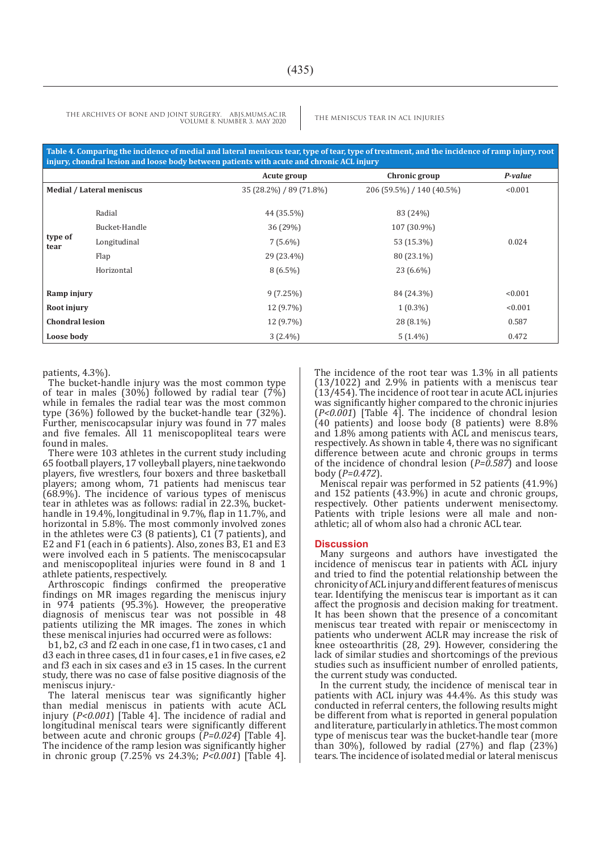THE ARCHIVES OF BONE AND JOINT SURGERY. ABJS.MUMS.AC.IR THE MENISCUS TEAR IN ACL INJURIES VOLUME 8. NUMBER 3. MAY 2020

**Table 4. Comparing the incidence of medial and lateral meniscus tear, type of tear, type of treatment, and the incidence of ramp injury, root injury, chondral lesion and loose body between patients with acute and chronic ACL injury**

|                        |                                  | Acute group             | Chronic group             | P-value |
|------------------------|----------------------------------|-------------------------|---------------------------|---------|
|                        | <b>Medial / Lateral meniscus</b> | 35 (28.2%) / 89 (71.8%) | 206 (59.5%) / 140 (40.5%) | < 0.001 |
| type of<br>tear        | Radial<br>Bucket-Handle          | 44 (35.5%)<br>36 (29%)  | 83 (24%)<br>107 (30.9%)   |         |
|                        | Longitudinal                     | $7(5.6\%)$              | 53 (15.3%)                | 0.024   |
|                        | Flap                             | 29 (23.4%)              | 80 (23.1%)                |         |
|                        | Horizontal                       | $8(6.5\%)$              | 23 (6.6%)                 |         |
| Ramp injury            |                                  | 9(7.25%)                | 84 (24.3%)                | < 0.001 |
| Root injury            |                                  | 12 (9.7%)               | $1(0.3\%)$                | < 0.001 |
| <b>Chondral lesion</b> |                                  | 12 (9.7%)               | 28 (8.1%)                 | 0.587   |
| Loose body             |                                  | $3(2.4\%)$              | $5(1.4\%)$                | 0.472   |

patients, 4.3%).

The bucket-handle injury was the most common type of tear in males (30%) followed by radial tear (7%) while in females the radial tear was the most common type (36%) followed by the bucket-handle tear (32%). Further, meniscocapsular injury was found in 77 males and five females. All 11 meniscopopliteal tears were found in males.

There were 103 athletes in the current study including 65 football players, 17 volleyball players, nine taekwondo players, five wrestlers, four boxers and three basketball players; among whom, 71 patients had meniscus tear (68.9%). The incidence of various types of meniscus tear in athletes was as follows: radial in 22.3%, buckethandle in 19.4%, longitudinal in 9.7%, flap in 11.7%, and horizontal in 5.8%. The most commonly involved zones in the athletes were C3 (8 patients), C1 (7 patients), and E2 and F1 (each in 6 patients). Also, zones B3, E1 and E3 were involved each in 5 patients. The meniscocapsular and meniscopopliteal injuries were found in 8 and 1 athlete patients, respectively.

Arthroscopic findings confirmed the preoperative findings on MR images regarding the meniscus injury in 974 patients (95.3%). However, the preoperative diagnosis of meniscus tear was not possible in 48 patients utilizing the MR images. The zones in which these meniscal injuries had occurred were as follows:

b1, b2, c3 and f2 each in one case, f1 in two cases, c1 and d3 each in three cases, d1 in four cases, e1 in five cases, e2 and f3 each in six cases and e3 in 15 cases. In the current study, there was no case of false positive diagnosis of the meniscus injury.

The lateral meniscus tear was significantly higher than medial meniscus in patients with acute ACL injury (*P<0.001*) [Table 4]. The incidence of radial and longitudinal meniscal tears were significantly different between acute and chronic groups (*P=0.024*) [Table 4]. The incidence of the ramp lesion was significantly higher in chronic group (7.25% vs 24.3%; *P<0.001*) [Table 4]. The incidence of the root tear was 1.3% in all patients (13/1022) and 2.9% in patients with a meniscus tear  $(13/454)$ . The incidence of root tear in acute ACL injuries was significantly higher compared to the chronic injuries (*P<0.001*) [Table 4]. The incidence of chondral lesion (40 patients) and loose body (8 patients) were 8.8% and 1.8% among patients with ACL and meniscus tears, respectively. As shown in table 4, there was no significant difference between acute and chronic groups in terms of the incidence of chondral lesion (*P=0.587*) and loose body (*P=0.472*).

Meniscal repair was performed in 52 patients (41.9%) and 152 patients (43.9%) in acute and chronic groups, respectively. Other patients underwent menisectomy. Patients with triple lesions were all male and nonathletic; all of whom also had a chronic ACL tear.

#### **Discussion**

Many surgeons and authors have investigated the incidence of meniscus tear in patients with ACL injury and tried to find the potential relationship between the chronicity of ACL injury and different features of meniscus tear. Identifying the meniscus tear is important as it can affect the prognosis and decision making for treatment. It has been shown that the presence of a concomitant meniscus tear treated with repair or meniscectomy in patients who underwent ACLR may increase the risk of knee osteoarthritis (28, 29). However, considering the lack of similar studies and shortcomings of the previous studies such as insufficient number of enrolled patients, the current study was conducted.

In the current study, the incidence of meniscal tear in patients with ACL injury was 44.4%. As this study was conducted in referral centers, the following results might be different from what is reported in general population and literature, particularly in athletics. The most common type of meniscus tear was the bucket-handle tear (more than 30%), followed by radial  $(27%)$  and flap  $(23%)$ tears. The incidence of isolated medial or lateral meniscus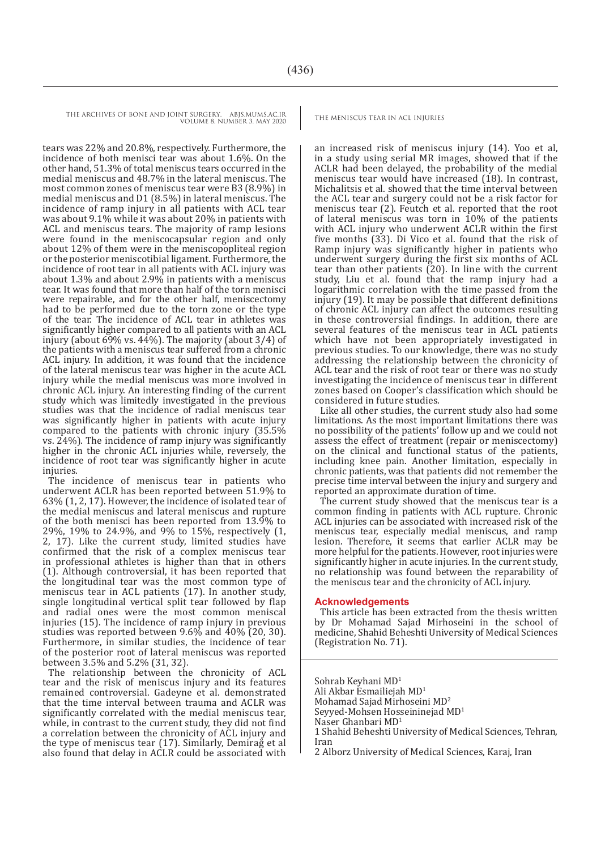THE ARCHIVES OF BONE AND JOINT SURGERY. ABJS.MUMS.AC.IR THE MENISCUS TEAR IN ACL INJURIES VOLUME 8. NUMBER 3. MAY 2020

tears was 22% and 20.8%, respectively. Furthermore, the incidence of both menisci tear was about 1.6%. On the other hand, 51.3% of total meniscus tears occurred in the medial meniscus and 48.7% in the lateral meniscus. The most common zones of meniscus tear were B3 (8.9%) in medial meniscus and D1 (8.5%) in lateral meniscus. The incidence of ramp injury in all patients with ACL tear was about 9.1% while it was about 20% in patients with ACL and meniscus tears. The majority of ramp lesions were found in the meniscocapsular region and only about 12% of them were in the meniscopopliteal region or the posterior meniscotibial ligament. Furthermore, the incidence of root tear in all patients with ACL injury was about 1.3% and about 2.9% in patients with a meniscus tear. It was found that more than half of the torn menisci were repairable, and for the other half, meniscectomy had to be performed due to the torn zone or the type of the tear. The incidence of ACL tear in athletes was significantly higher compared to all patients with an ACL injury (about 69% vs. 44%). The majority (about 3/4) of the patients with a meniscus tear suffered from a chronic ACL injury. In addition, it was found that the incidence of the lateral meniscus tear was higher in the acute ACL injury while the medial meniscus was more involved in chronic ACL injury. An interesting finding of the current study which was limitedly investigated in the previous studies was that the incidence of radial meniscus tear was significantly higher in patients with acute injury compared to the patients with chronic injury (35.5% vs. 24%). The incidence of ramp injury was significantly higher in the chronic ACL injuries while, reversely, the incidence of root tear was significantly higher in acute injuries.

The incidence of meniscus tear in patients who underwent ACLR has been reported between 51.9% to 63% (1, 2, 17). However, the incidence of isolated tear of the medial meniscus and lateral meniscus and rupture of the both menisci has been reported from 13.9% to 29%, 19% to 24.9%, and 9% to 15%, respectively (1, 2, 17). Like the current study, limited studies have confirmed that the risk of a complex meniscus tear in professional athletes is higher than that in others (1). Although controversial, it has been reported that the longitudinal tear was the most common type of meniscus tear in ACL patients (17). In another study, single longitudinal vertical split tear followed by flap and radial ones were the most common meniscal injuries (15). The incidence of ramp injury in previous studies was reported between 9.6% and 40% (20, 30). Furthermore, in similar studies, the incidence of tear of the posterior root of lateral meniscus was reported between 3.5% and 5.2% (31, 32).

The relationship between the chronicity of ACL tear and the risk of meniscus injury and its features remained controversial. Gadeyne et al. demonstrated that the time interval between trauma and ACLR was significantly correlated with the medial meniscus tear, while, in contrast to the current study, they did not find a correlation between the chronicity of ACL injury and the type of meniscus tear (17). Similarly, Demirağ et al also found that delay in ACLR could be associated with

an increased risk of meniscus injury (14). Yoo et al, in a study using serial MR images, showed that if the ACLR had been delayed, the probability of the medial meniscus tear would have increased (18). In contrast, Michalitsis et al. showed that the time interval between the ACL tear and surgery could not be a risk factor for meniscus tear (2). Feutch et al. reported that the root of lateral meniscus was torn in  $10\%$  of the patients with ACL injury who underwent ACLR within the first five months (33). Di Vico et al. found that the risk of Ramp injury was significantly higher in patients who underwent surgery during the first six months of ACL tear than other patients (20). In line with the current study, Liu et al. found that the ramp injury had a logarithmic correlation with the time passed from the injury (19). It may be possible that different definitions of chronic ACL injury can affect the outcomes resulting in these controversial findings. In addition, there are several features of the meniscus tear in ACL patients which have not been appropriately investigated in previous studies. To our knowledge, there was no study addressing the relationship between the chronicity of ACL tear and the risk of root tear or there was no study investigating the incidence of meniscus tear in different zones based on Cooper's classification which should be considered in future studies.

Like all other studies, the current study also had some limitations. As the most important limitations there was no possibility of the patients' follow up and we could not assess the effect of treatment (repair or meniscectomy) on the clinical and functional status of the patients, including knee pain. Another limitation, especially in chronic patients, was that patients did not remember the precise time interval between the injury and surgery and reported an approximate duration of time.

The current study showed that the meniscus tear is a common finding in patients with ACL rupture. Chronic ACL injuries can be associated with increased risk of the meniscus tear, especially medial meniscus, and ramp lesion. Therefore, it seems that earlier ACLR may be more helpful for the patients. However, root injuries were significantly higher in acute injuries. In the current study, no relationship was found between the reparability of the meniscus tear and the chronicity of ACL injury.

#### **Acknowledgements**

This article has been extracted from the thesis written by Dr Mohamad Sajad Mirhoseini in the school of medicine, Shahid Beheshti University of Medical Sciences (Registration No. 71).

Sohrab Keyhani MD1 Ali Akbar Esmailiejah MD1 Mohamad Sajad Mirhoseini MD2 Seyyed-Mohsen Hosseininejad MD1 Naser Ghanbari MD1 1 Shahid Beheshti University of Medical Sciences, Tehran, Iran

2 Alborz University of Medical Sciences, Karaj, Iran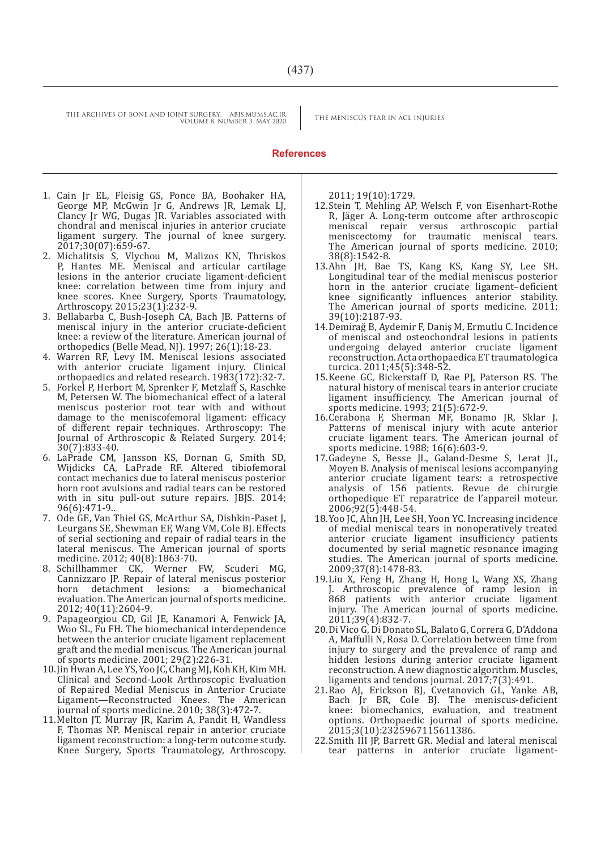THE ARCHIVES OF BONE AND JOINT SURGERY. ABJS.MUMS.AC.IR<br>THE MENISCUS TEAR IN ACL INJURIES VOLUME 8. NUMBER 3. MAY 2020

#### **References**

- 1. Cain Jr EL, Fleisig GS, Ponce BA, Boohaker HA, George MP, McGwin Jr G, Andrews JR, Lemak LJ, Clancy Jr WG, Dugas JR. Variables associated with chondral and meniscal injuries in anterior cruciate ligament surgery. The journal of knee surgery. 2017;30(07):659-67.
- 2. Michalitsis S, Vlychou M, Malizos KN, Thriskos P, Hantes ME. Meniscal and articular cartilage lesions in the anterior cruciate ligament-deficient knee: correlation between time from injury and knee scores. Knee Surgery, Sports Traumatology, Arthroscopy. 2015;23(1):232-9.
- 3. Bellabarba C, Bush-Joseph CA, Bach JB. Patterns of meniscal injury in the anterior cruciate-deficient knee: a review of the literature. American journal of orthopedics (Belle Mead, NJ). 1997; 26(1):18-23.
- 4. Warren RF, Levy IM. Meniscal lesions associated with anterior cruciate ligament injury. Clinical orthopaedics and related research. 1983(172):32-7.
- 5. Forkel P, Herbort M, Sprenker F, Metzlaff S, Raschke M, Petersen W. The biomechanical effect of a lateral meniscus posterior root tear with and without damage to the meniscofemoral ligament: efficacy of different repair techniques. Arthroscopy: The Journal of Arthroscopic & Related Surgery. 2014; 30(7):833-40.
- 6. LaPrade CM, Jansson KS, Dornan G, Smith SD, Wijdicks CA, LaPrade RF. Altered tibiofemoral contact mechanics due to lateral meniscus posterior horn root avulsions and radial tears can be restored with in situ pull-out suture repairs. JBJS. 2014; 96(6):471-9..
- 7. Ode GE, Van Thiel GS, McArthur SA, Dishkin-Paset J, Leurgans SE, Shewman EF, Wang VM, Cole BJ. Effects of serial sectioning and repair of radial tears in the lateral meniscus. The American journal of sports medicine. 2012; 40(8):1863-70.
- 8. Schillhammer CK, Werner FW, Scuderi MG, Cannizzaro JP. Repair of lateral meniscus posterior detachment lesions: a biomechanical evaluation. The American journal of sports medicine. 2012; 40(11):2604-9.
- 9. Papageorgiou CD, Gil JE, Kanamori A, Fenwick JA, Woo SL, Fu FH. The biomechanical interdependence between the anterior cruciate ligament replacement graft and the medial meniscus. The American journal of sports medicine. 2001; 29(2):226-31.
- 10.Jin Hwan A, Lee YS, Yoo JC, Chang MJ, Koh KH, Kim MH. Clinical and Second-Look Arthroscopic Evaluation of Repaired Medial Meniscus in Anterior Cruciate Ligament—Reconstructed Knees. The American journal of sports medicine. 2010; 38(3):472-7.
- 11.Melton JT, Murray JR, Karim A, Pandit H, Wandless F, Thomas NP. Meniscal repair in anterior cruciate ligament reconstruction: a long-term outcome study. Knee Surgery, Sports Traumatology, Arthroscopy.

2011; 19(10):1729.

- 12.Stein T, Mehling AP, Welsch F, von Eisenhart-Rothe R, Jäger A. Long-term outcome after arthroscopic meniscal repair versus arthroscopic partial meniscectomy for traumatic meniscal tears. The American journal of sports medicine. 2010; 38(8):1542-8.
- 13.Ahn JH, Bae TS, Kang KS, Kang SY, Lee SH. Longitudinal tear of the medial meniscus posterior horn in the anterior cruciate ligament–deficient knee significantly influences anterior stability. The American journal of sports medicine. 2011; 39(10):2187-93.
- 14.Demirağ B, Aydemir F, Daniş M, Ermutlu C. Incidence of meniscal and osteochondral lesions in patients undergoing delayed anterior cruciate ligament reconstruction. Acta orthopaedica ET traumatologica turcica. 2011;45(5):348-52.
- 15.Keene GC, Bickerstaff D, Rae PJ, Paterson RS. The natural history of meniscal tears in anterior cruciate<br>ligament insufficiency. The American journal of ligament insufficiency. The American journal of sports medicine. 1993; 21(5):672-9.
- 16.Cerabona F, Sherman MF, Bonamo JR, Sklar J. Patterns of meniscal injury with acute anterior cruciate ligament tears. The American journal of sports medicine. 1988; 16(6):603-9.
- 17.Gadeyne S, Besse JL, Galand-Desme S, Lerat JL, Moyen B. Analysis of meniscal lesions accompanying anterior cruciate ligament tears: a retrospective analysis of 156 patients. Revue de chirurgie orthopedique ET reparatrice de l'appareil moteur. 2006;92(5):448-54.
- 18.Yoo JC, Ahn JH, Lee SH, Yoon YC. Increasing incidence of medial meniscal tears in nonoperatively treated anterior cruciate ligament insufficiency patients documented by serial magnetic resonance imaging studies. The American journal of sports medicine. 2009;37(8):1478-83.
- 19.Liu X, Feng H, Zhang H, Hong L, Wang XS, Zhang J. Arthroscopic prevalence of ramp lesion in 868 patients with anterior cruciate ligament injury. The American journal of sports medicine. 2011;39(4):832-7.
- 20.Di Vico G, Di Donato SL, Balato G, Correra G, D'Addona A, Maffulli N, Rosa D. Correlation between time from injury to surgery and the prevalence of ramp and hidden lesions during anterior cruciate ligament reconstruction. A new diagnostic algorithm. Muscles, ligaments and tendons journal. 2017;7(3):491.
- 21.Rao AJ, Erickson BJ, Cvetanovich GL, Yanke AB, Bach Jr BR, Cole BJ. The meniscus-deficient knee: biomechanics, evaluation, and treatment options. Orthopaedic journal of sports medicine. 2015;3(10):2325967115611386.
- 22.Smith III JP, Barrett GR. Medial and lateral meniscal tear patterns in anterior cruciate ligament-